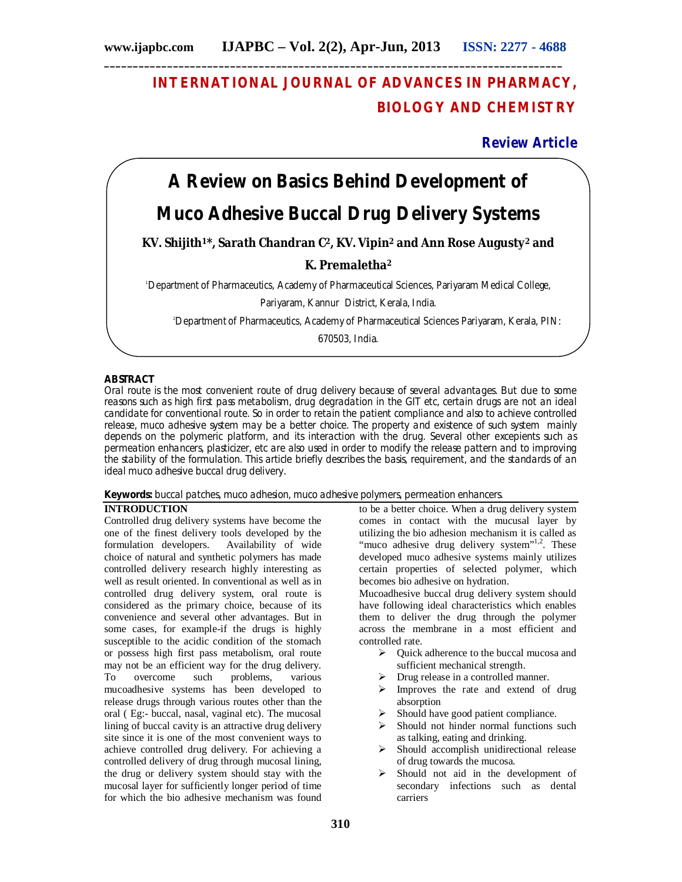# **INTERNATIONAL JOURNAL OF ADVANCES IN PHARMACY, BIOLOGY AND CHEMISTRY**

**Review Article**

# **A Review on Basics Behind Development of**

# **Muco Adhesive Buccal Drug Delivery Systems**

# **KV. Shijith1\*, Sarath Chandran C2, KV. Vipin<sup>2</sup> and Ann Rose Augusty<sup>2</sup> and**

# **K. Premaletha<sup>2</sup>**

<sup>1</sup>Department of Pharmaceutics, Academy of Pharmaceutical Sciences, Pariyaram Medical College,

Pariyaram, Kannur District, Kerala, India.

<sup>2</sup>Department of Pharmaceutics, Academy of Pharmaceutical Sciences Pariyaram, Kerala, PIN:

670503, India.

# **ABSTRACT**

Oral route is the most convenient route of drug delivery because of several advantages. But due to some reasons such as high first pass metabolism, drug degradation in the GIT etc, certain drugs are not an ideal candidate for conventional route. So in order to retain the patient compliance and also to achieve controlled release, muco adhesive system may be a better choice. The property and existence of such system mainly depends on the polymeric platform, and its interaction with the drug. Several other excepients such as permeation enhancers, plasticizer, etc are also used in order to modify the release pattern and to improving the stability of the formulation. This article briefly describes the basis, requirement, and the standards of an ideal muco adhesive buccal drug delivery.

**Keywords:** buccal patches, muco adhesion, muco adhesive polymers, permeation enhancers.

# **INTRODUCTION**

Controlled drug delivery systems have become the one of the finest delivery tools developed by the formulation developers. Availability of wide formulation developers. choice of natural and synthetic polymers has made controlled delivery research highly interesting as well as result oriented. In conventional as well as in controlled drug delivery system, oral route is considered as the primary choice, because of its convenience and several other advantages. But in some cases, for example-if the drugs is highly susceptible to the acidic condition of the stomach or possess high first pass metabolism, oral route may not be an efficient way for the drug delivery. To overcome such problems, various mucoadhesive systems has been developed to release drugs through various routes other than the oral ( Eg:- buccal, nasal, vaginal etc). The mucosal lining of buccal cavity is an attractive drug delivery site since it is one of the most convenient ways to achieve controlled drug delivery. For achieving a controlled delivery of drug through mucosal lining, the drug or delivery system should stay with the mucosal layer for sufficiently longer period of time for which the bio adhesive mechanism was found

to be a better choice. When a drug delivery system comes in contact with the mucusal layer by utilizing the bio adhesion mechanism it is called as "muco adhesive drug delivery system"<sup>1,2</sup>. These developed muco adhesive systems mainly utilizes certain properties of selected polymer, which becomes bio adhesive on hydration.

Mucoadhesive buccal drug delivery system should have following ideal characteristics which enables them to deliver the drug through the polymer across the membrane in a most efficient and controlled rate.

- $\triangleright$  Ouick adherence to the buccal mucosa and sufficient mechanical strength.
- > Drug release in a controlled manner.
- $\triangleright$  Improves the rate and extend of drug absorption
- $\triangleright$  Should have good patient compliance.
- $\triangleright$  Should not hinder normal functions such as talking, eating and drinking.
- $\triangleright$  Should accomplish unidirectional release of drug towards the mucosa.
- $\triangleright$  Should not aid in the development of secondary infections such as dental carriers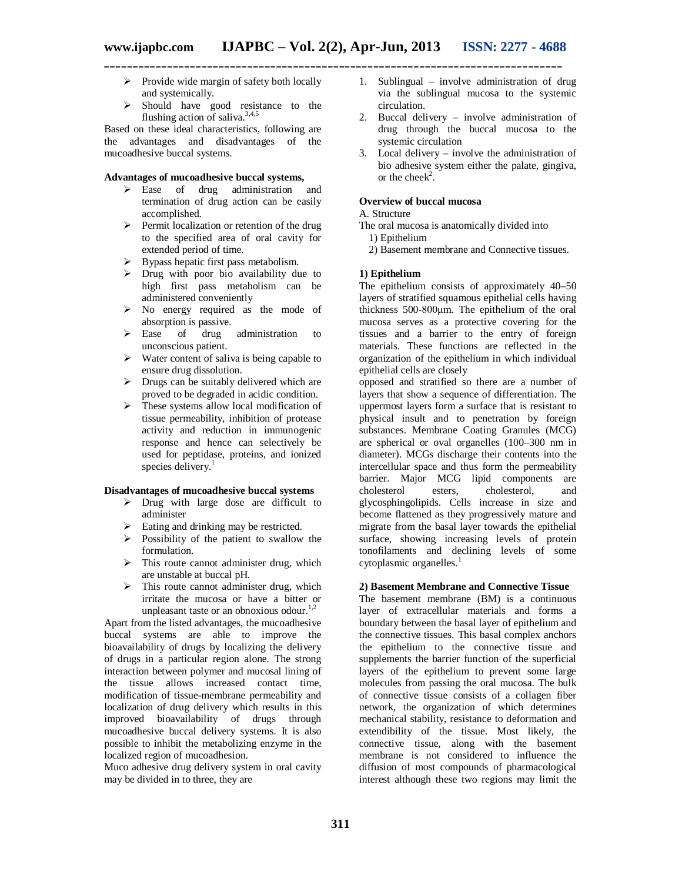- $\triangleright$  Provide wide margin of safety both locally and systemically.
- $\triangleright$  Should have good resistance to the flushing action of saliva.<sup>3,4,5</sup>

Based on these ideal characteristics, following are the advantages and disadvantages of the mucoadhesive buccal systems.

# **Advantages of mucoadhesive buccal systems,**

- > Ease of drug administration and termination of drug action can be easily accomplished.
- $\triangleright$  Permit localization or retention of the drug to the specified area of oral cavity for extended period of time.
- $\triangleright$  Bypass hepatic first pass metabolism.
- $\triangleright$  Drug with poor bio availability due to high first pass metabolism can be administered conveniently
- $\triangleright$  No energy required as the mode of absorption is passive.<br>  $\triangleright$  Ease of drug
- drug administration to unconscious patient.
- $\triangleright$  Water content of saliva is being capable to ensure drug dissolution.
- $\triangleright$  Drugs can be suitably delivered which are proved to be degraded in acidic condition.
- $\triangleright$  These systems allow local modification of tissue permeability, inhibition of protease activity and reduction in immunogenic response and hence can selectively be used for peptidase, proteins, and ionized species delivery.<sup>1</sup>

#### **Disadvantages of mucoadhesive buccal systems**

- $\triangleright$  Drug with large dose are difficult to administer
- $\triangleright$  Eating and drinking may be restricted.
- $\triangleright$  Possibility of the patient to swallow the formulation.
- $\triangleright$  This route cannot administer drug, which are unstable at buccal pH.
- $\triangleright$  This route cannot administer drug, which irritate the mucosa or have a bitter or unpleasant taste or an obnoxious odour. $1,2$

Apart from the listed advantages, the mucoadhesive buccal systems are able to improve the bioavailability of drugs by localizing the delivery of drugs in a particular region alone. The strong interaction between polymer and mucosal lining of the tissue allows increased contact time, modification of tissue-membrane permeability and localization of drug delivery which results in this improved bioavailability of drugs through mucoadhesive buccal delivery systems. It is also possible to inhibit the metabolizing enzyme in the localized region of mucoadhesion.

Muco adhesive drug delivery system in oral cavity may be divided in to three, they are

- 1. Sublingual involve administration of drug via the sublingual mucosa to the systemic circulation.
- 2. Buccal delivery involve administration of drug through the buccal mucosa to the systemic circulation
- 3. Local delivery involve the administration of bio adhesive system either the palate, gingiva, or the cheek<sup>2</sup>.

# **Overview of buccal mucosa**

#### A. Structure

- The oral mucosa is anatomically divided into
	- 1) Epithelium
	- 2) Basement membrane and Connective tissues.

#### **1) Epithelium**

The epithelium consists of approximately 40–50 layers of stratified squamous epithelial cells having thickness 500-800μm. The epithelium of the oral mucosa serves as a protective covering for the tissues and a barrier to the entry of foreign materials. These functions are reflected in the organization of the epithelium in which individual epithelial cells are closely

opposed and stratified so there are a number of layers that show a sequence of differentiation. The uppermost layers form a surface that is resistant to physical insult and to penetration by foreign substances. Membrane Coating Granules (MCG) are spherical or oval organelles (100–300 nm in diameter). MCGs discharge their contents into the intercellular space and thus form the permeability barrier. Major MCG lipid components are cholesterol esters, cholesterol, and glycosphingolipids. Cells increase in size and become flattened as they progressively mature and migrate from the basal layer towards the epithelial surface, showing increasing levels of protein tonofilaments and declining levels of some cytoplasmic organelles.<sup>1</sup>

# **2) Basement Membrane and Connective Tissue**

The basement membrane (BM) is a continuous layer of extracellular materials and forms a boundary between the basal layer of epithelium and the connective tissues. This basal complex anchors the epithelium to the connective tissue and supplements the barrier function of the superficial layers of the epithelium to prevent some large molecules from passing the oral mucosa. The bulk of connective tissue consists of a collagen fiber network, the organization of which determines mechanical stability, resistance to deformation and extendibility of the tissue. Most likely, the connective tissue, along with the basement membrane is not considered to influence the diffusion of most compounds of pharmacological interest although these two regions may limit the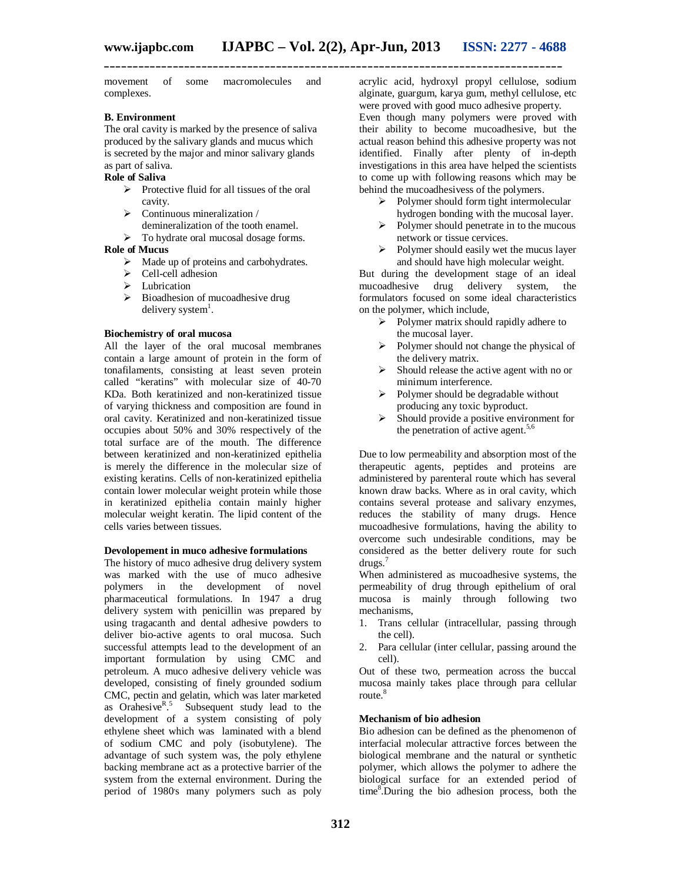**\_\_\_\_\_\_\_\_\_\_\_\_\_\_\_\_\_\_\_\_\_\_\_\_\_\_\_\_\_\_\_\_\_\_\_\_\_\_\_\_\_\_\_\_\_\_\_\_\_\_\_\_\_\_\_\_\_\_\_\_\_\_\_\_\_\_\_\_\_\_\_\_\_\_\_\_\_\_\_\_**

movement of some macromolecules and complexes.

#### **B. Environment**

The oral cavity is marked by the presence of saliva produced by the salivary glands and mucus which is secreted by the major and minor salivary glands as part of saliva.

# **Role of Saliva**

- $\triangleright$  Protective fluid for all tissues of the oral cavity.
- $\triangleright$  Continuous mineralization /
- demineralization of the tooth enamel.
- $\triangleright$  To hydrate oral mucosal dosage forms.

# **Role of Mucus**

- $\triangleright$  Made up of proteins and carbohydrates.
- $\triangleright$  Cell-cell adhesion
- $\blacktriangleright$  Lubrication
- $\triangleright$  Bioadhesion of mucoadhesive drug delivery system<sup>1</sup>.

#### **Biochemistry of oral mucosa**

All the layer of the oral mucosal membranes contain a large amount of protein in the form of tonafilaments, consisting at least seven protein called "keratins" with molecular size of 40-70 KDa. Both keratinized and non-keratinized tissue of varying thickness and composition are found in oral cavity. Keratinized and non-keratinized tissue occupies about 50% and 30% respectively of the total surface are of the mouth. The difference between keratinized and non-keratinized epithelia is merely the difference in the molecular size of existing keratins. Cells of non-keratinized epithelia contain lower molecular weight protein while those in keratinized epithelia contain mainly higher molecular weight keratin. The lipid content of the cells varies between tissues.

#### **Devolopement in muco adhesive formulations**

The history of muco adhesive drug delivery system was marked with the use of muco adhesive polymers in the development of novel pharmaceutical formulations. In 1947 a drug delivery system with penicillin was prepared by using tragacanth and dental adhesive powders to deliver bio-active agents to oral mucosa. Such successful attempts lead to the development of an important formulation by using CMC and petroleum. A muco adhesive delivery vehicle was developed, consisting of finely grounded sodium CMC, pectin and gelatin, which was later marketed as Orahesive $R^5$ . Subsequent study lead to the development of a system consisting of poly ethylene sheet which was laminated with a blend of sodium CMC and poly (isobutylene). The advantage of such system was, the poly ethylene backing membrane act as a protective barrier of the system from the external environment. During the period of 1980's many polymers such as poly acrylic acid, hydroxyl propyl cellulose, sodium alginate, guargum, karya gum, methyl cellulose, etc were proved with good muco adhesive property. Even though many polymers were proved with their ability to become mucoadhesive, but the actual reason behind this adhesive property was not identified. Finally after plenty of in-depth investigations in this area have helped the scientists to come up with following reasons which may be behind the mucoadhesivess of the polymers.

- $\triangleright$  Polymer should form tight intermolecular hydrogen bonding with the mucosal layer.
- $\triangleright$  Polymer should penetrate in to the mucous network or tissue cervices.
- $\triangleright$  Polymer should easily wet the mucus layer and should have high molecular weight.

But during the development stage of an ideal mucoadhesive drug delivery system, the formulators focused on some ideal characteristics on the polymer, which include,

- $\triangleright$  Polymer matrix should rapidly adhere to the mucosal layer.
- $\triangleright$  Polymer should not change the physical of the delivery matrix.
- $\triangleright$  Should release the active agent with no or minimum interference.
- $\triangleright$  Polymer should be degradable without producing any toxic byproduct.
- $\triangleright$  Should provide a positive environment for the penetration of active agent. $5,6$

Due to low permeability and absorption most of the therapeutic agents, peptides and proteins are administered by parenteral route which has several known draw backs. Where as in oral cavity, which contains several protease and salivary enzymes, reduces the stability of many drugs. Hence mucoadhesive formulations, having the ability to overcome such undesirable conditions, may be considered as the better delivery route for such drugs.<sup>7</sup>

When administered as mucoadhesive systems, the permeability of drug through epithelium of oral mucosa is mainly through following two mechanisms,

- 1. Trans cellular (intracellular, passing through the cell).
- 2. Para cellular (inter cellular, passing around the cell).

Out of these two, permeation across the buccal mucosa mainly takes place through para cellular route.<sup>8</sup>

#### **Mechanism of bio adhesion**

Bio adhesion can be defined as the phenomenon of interfacial molecular attractive forces between the biological membrane and the natural or synthetic polymer, which allows the polymer to adhere the biological surface for an extended period of time<sup>8</sup>.During the bio adhesion process, both the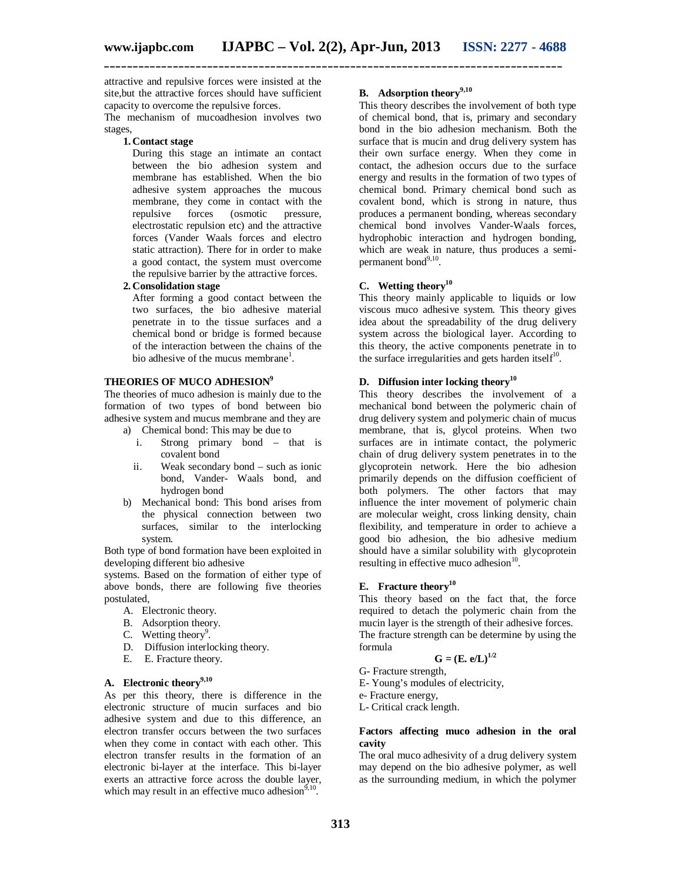attractive and repulsive forces were insisted at the site,but the attractive forces should have sufficient capacity to overcome the repulsive forces.

The mechanism of mucoadhesion involves two stages,

#### **1. Contact stage**

During this stage an intimate an contact between the bio adhesion system and membrane has established. When the bio adhesive system approaches the mucous membrane, they come in contact with the<br>repulsive forces (osmotic pressure, (osmotic electrostatic repulsion etc) and the attractive forces (Vander Waals forces and electro static attraction). There for in order to make a good contact, the system must overcome the repulsive barrier by the attractive forces.

#### **2. Consolidation stage**

After forming a good contact between the two surfaces, the bio adhesive material penetrate in to the tissue surfaces and a chemical bond or bridge is formed because of the interaction between the chains of the bio adhesive of the mucus membrane<sup>1</sup>.

#### **THEORIES OF MUCO ADHESION<sup>9</sup>**

The theories of muco adhesion is mainly due to the formation of two types of bond between bio adhesive system and mucus membrane and they are

- a) Chemical bond: This may be due to
	- i. Strong primary bond that is covalent bond
	- ii. Weak secondary bond such as ionic bond, Vander- Waals bond, and hydrogen bond
- b) Mechanical bond: This bond arises from the physical connection between two surfaces, similar to the interlocking system.

Both type of bond formation have been exploited in developing different bio adhesive

systems. Based on the formation of either type of above bonds, there are following five theories postulated,

- A. Electronic theory.
- B. Adsorption theory.
- C. Wetting theory<sup>9</sup>.
- D. Diffusion interlocking theory.
- E. E. Fracture theory.

# **A. Electronic theory9,10**

As per this theory, there is difference in the electronic structure of mucin surfaces and bio adhesive system and due to this difference, an electron transfer occurs between the two surfaces when they come in contact with each other. This electron transfer results in the formation of an electronic bi-layer at the interface. This bi-layer exerts an attractive force across the double layer, which may result in an effective muco adhesion $9,10$ .

# **B. Adsorption theory9,10**

This theory describes the involvement of both type of chemical bond, that is, primary and secondary bond in the bio adhesion mechanism. Both the surface that is mucin and drug delivery system has their own surface energy. When they come in contact, the adhesion occurs due to the surface energy and results in the formation of two types of chemical bond. Primary chemical bond such as covalent bond, which is strong in nature, thus produces a permanent bonding, whereas secondary chemical bond involves Vander-Waals forces, hydrophobic interaction and hydrogen bonding, which are weak in nature, thus produces a semipermanent bond<sup>9,10</sup>.

# **C. Wetting theory<sup>10</sup>**

This theory mainly applicable to liquids or low viscous muco adhesive system. This theory gives idea about the spreadability of the drug delivery system across the biological layer. According to this theory, the active components penetrate in to the surface irregularities and gets harden itself $10$ .

# **D. Diffusion inter locking theory<sup>10</sup>**

This theory describes the involvement of a mechanical bond between the polymeric chain of drug delivery system and polymeric chain of mucus membrane, that is, glycol proteins. When two surfaces are in intimate contact, the polymeric chain of drug delivery system penetrates in to the glycoprotein network. Here the bio adhesion primarily depends on the diffusion coefficient of both polymers. The other factors that may influence the inter movement of polymeric chain are molecular weight, cross linking density, chain flexibility, and temperature in order to achieve a good bio adhesion, the bio adhesive medium should have a similar solubility with glycoprotein resulting in effective muco adhesion<sup>10</sup>.

# **E. Fracture theory<sup>10</sup>**

This theory based on the fact that, the force required to detach the polymeric chain from the mucin layer is the strength of their adhesive forces. The fracture strength can be determine by using the formula

$$
\mathbf{G} = (\mathbf{E} \cdot \mathbf{e}/\mathbf{L})^{1/2}
$$

G- Fracture strength,

E- Young's modules of electricity,

e- Fracture energy,

L- Critical crack length.

#### **Factors affecting muco adhesion in the oral cavity**

The oral muco adhesivity of a drug delivery system may depend on the bio adhesive polymer, as well as the surrounding medium, in which the polymer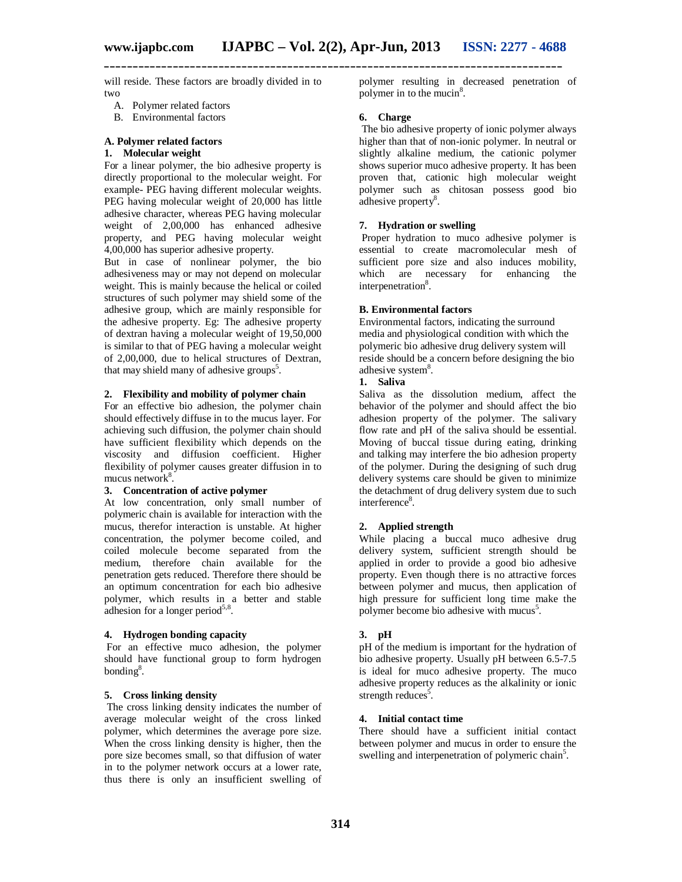will reside. These factors are broadly divided in to two

- A. Polymer related factors
- B. Environmental factors

#### **A. Polymer related factors**

# **1. Molecular weight**

For a linear polymer, the bio adhesive property is directly proportional to the molecular weight. For example- PEG having different molecular weights. PEG having molecular weight of 20,000 has little adhesive character, whereas PEG having molecular weight of 2,00,000 has enhanced adhesive property, and PEG having molecular weight 4,00,000 has superior adhesive property.

But in case of nonlinear polymer, the bio adhesiveness may or may not depend on molecular weight. This is mainly because the helical or coiled structures of such polymer may shield some of the adhesive group, which are mainly responsible for the adhesive property. Eg: The adhesive property of dextran having a molecular weight of 19,50,000 is similar to that of PEG having a molecular weight of 2,00,000, due to helical structures of Dextran, that may shield many of adhesive groups<sup>5</sup>.

#### **2. Flexibility and mobility of polymer chain**

For an effective bio adhesion, the polymer chain should effectively diffuse in to the mucus layer. For achieving such diffusion, the polymer chain should have sufficient flexibility which depends on the viscosity and diffusion coefficient. Higher flexibility of polymer causes greater diffusion in to mucus network<sup>8</sup>.

#### **3. Concentration of active polymer**

At low concentration, only small number of polymeric chain is available for interaction with the mucus, therefor interaction is unstable. At higher concentration, the polymer become coiled, and coiled molecule become separated from the medium, therefore chain available for the penetration gets reduced. Therefore there should be an optimum concentration for each bio adhesive polymer, which results in a better and stable adhesion for a longer period $5,8$ .

#### **4. Hydrogen bonding capacity**

For an effective muco adhesion, the polymer should have functional group to form hydrogen bonding<sup>8</sup>.

#### **5. Cross linking density**

The cross linking density indicates the number of average molecular weight of the cross linked polymer, which determines the average pore size. When the cross linking density is higher, then the pore size becomes small, so that diffusion of water in to the polymer network occurs at a lower rate, thus there is only an insufficient swelling of polymer resulting in decreased penetration of polymer in to the mucin $8$ .

#### **6. Charge**

The bio adhesive property of ionic polymer always higher than that of non-ionic polymer. In neutral or slightly alkaline medium, the cationic polymer shows superior muco adhesive property. It has been proven that, cationic high molecular weight polymer such as chitosan possess good bio adhesive property<sup>8</sup>.

#### **7. Hydration or swelling**

Proper hydration to muco adhesive polymer is essential to create macromolecular mesh of sufficient pore size and also induces mobility, which are necessary for enhancing the interpenetration<sup>8</sup>.

#### **B. Environmental factors**

Environmental factors, indicating the surround media and physiological condition with which the polymeric bio adhesive drug delivery system will reside should be a concern before designing the bio adhesive system<sup>8</sup>.

# **1. Saliva**

Saliva as the dissolution medium, affect the behavior of the polymer and should affect the bio adhesion property of the polymer. The salivary flow rate and pH of the saliva should be essential. Moving of buccal tissue during eating, drinking and talking may interfere the bio adhesion property of the polymer. During the designing of such drug delivery systems care should be given to minimize the detachment of drug delivery system due to such interference<sup>8</sup>.

# **2. Applied strength**

While placing a buccal muco adhesive drug delivery system, sufficient strength should be applied in order to provide a good bio adhesive property. Even though there is no attractive forces between polymer and mucus, then application of high pressure for sufficient long time make the polymer become bio adhesive with mucus<sup>5</sup>.

#### **3. pH**

pH of the medium is important for the hydration of bio adhesive property. Usually pH between 6.5-7.5 is ideal for muco adhesive property. The muco adhesive property reduces as the alkalinity or ionic strength reduces<sup>5</sup>.

#### **4. Initial contact time**

There should have a sufficient initial contact between polymer and mucus in order to ensure the swelling and interpenetration of polymeric chain<sup>5</sup>.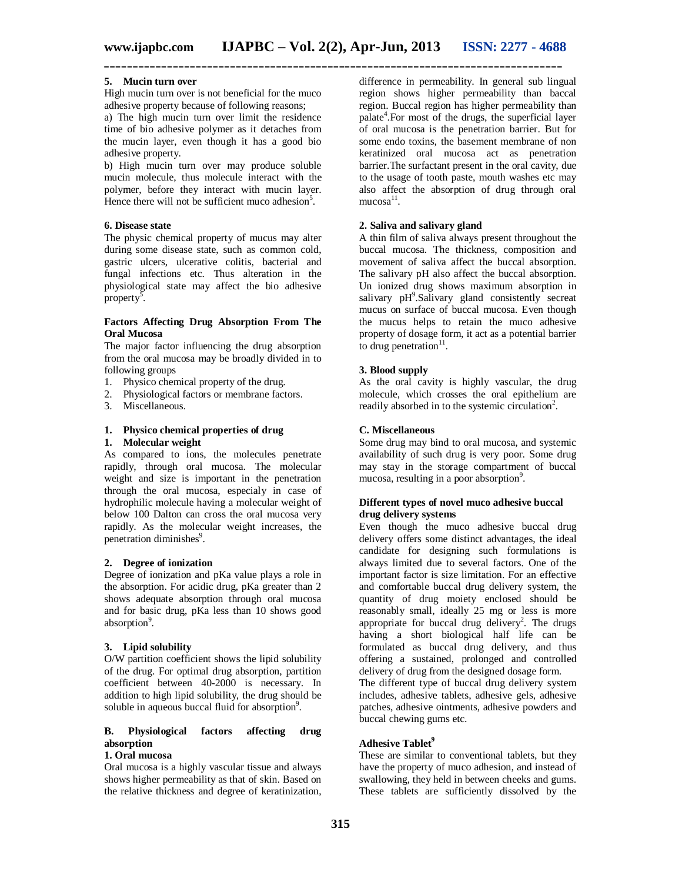**\_\_\_\_\_\_\_\_\_\_\_\_\_\_\_\_\_\_\_\_\_\_\_\_\_\_\_\_\_\_\_\_\_\_\_\_\_\_\_\_\_\_\_\_\_\_\_\_\_\_\_\_\_\_\_\_\_\_\_\_\_\_\_\_\_\_\_\_\_\_\_\_\_\_\_\_\_\_\_\_**

# **5. Mucin turn over**

High mucin turn over is not beneficial for the muco adhesive property because of following reasons;

a) The high mucin turn over limit the residence time of bio adhesive polymer as it detaches from the mucin layer, even though it has a good bio adhesive property.

b) High mucin turn over may produce soluble mucin molecule, thus molecule interact with the polymer, before they interact with mucin layer. Hence there will not be sufficient muco adhesion<sup>5</sup>.

#### **6. Disease state**

The physic chemical property of mucus may alter during some disease state, such as common cold, gastric ulcers, ulcerative colitis, bacterial and fungal infections etc. Thus alteration in the physiological state may affect the bio adhesive  $property^5$ .

#### **Factors Affecting Drug Absorption From The Oral Mucosa**

The major factor influencing the drug absorption from the oral mucosa may be broadly divided in to following groups

- 1. Physico chemical property of the drug.
- 2. Physiological factors or membrane factors.
- 3. Miscellaneous.
- **1. Physico chemical properties of drug**

# **1. Molecular weight**

As compared to ions, the molecules penetrate rapidly, through oral mucosa. The molecular weight and size is important in the penetration through the oral mucosa, especialy in case of hydrophilic molecule having a molecular weight of below 100 Dalton can cross the oral mucosa very rapidly. As the molecular weight increases, the penetration diminishes<sup>9</sup>.

#### **2. Degree of ionization**

Degree of ionization and pKa value plays a role in the absorption. For acidic drug, pKa greater than 2 shows adequate absorption through oral mucosa and for basic drug, pKa less than 10 shows good absorption<sup>9</sup>.

#### **3. Lipid solubility**

O/W partition coefficient shows the lipid solubility of the drug. For optimal drug absorption, partition coefficient between 40-2000 is necessary. In addition to high lipid solubility, the drug should be soluble in aqueous buccal fluid for absorption<sup>9</sup>.

# **B. Physiological factors affecting drug absorption**

# **1. Oral mucosa**

Oral mucosa is a highly vascular tissue and always shows higher permeability as that of skin. Based on the relative thickness and degree of keratinization, difference in permeability. In general sub lingual region shows higher permeability than baccal region. Buccal region has higher permeability than palate<sup>4</sup>. For most of the drugs, the superficial layer of oral mucosa is the penetration barrier. But for some endo toxins, the basement membrane of non keratinized oral mucosa act as penetration barrier.The surfactant present in the oral cavity, due to the usage of tooth paste, mouth washes etc may also affect the absorption of drug through oral  $mucosa<sup>11</sup>$ .

#### **2. Saliva and salivary gland**

A thin film of saliva always present throughout the buccal mucosa. The thickness, composition and movement of saliva affect the buccal absorption. The salivary pH also affect the buccal absorption. Un ionized drug shows maximum absorption in salivary pH<sup>9</sup>.Salivary gland consistently secreat mucus on surface of buccal mucosa. Even though the mucus helps to retain the muco adhesive property of dosage form, it act as a potential barrier to drug penetration $11$ .

#### **3. Blood supply**

As the oral cavity is highly vascular, the drug molecule, which crosses the oral epithelium are readily absorbed in to the systemic circulation<sup>2</sup>.

### **C. Miscellaneous**

Some drug may bind to oral mucosa, and systemic availability of such drug is very poor. Some drug may stay in the storage compartment of buccal mucosa, resulting in a poor absorption<sup>9</sup>.

#### **Different types of novel muco adhesive buccal drug delivery systems**

Even though the muco adhesive buccal drug delivery offers some distinct advantages, the ideal candidate for designing such formulations is always limited due to several factors. One of the important factor is size limitation. For an effective and comfortable buccal drug delivery system, the quantity of drug moiety enclosed should be reasonably small, ideally 25 mg or less is more appropriate for buccal drug delivery<sup>2</sup>. The drugs having a short biological half life can be formulated as buccal drug delivery, and thus offering a sustained, prolonged and controlled delivery of drug from the designed dosage form.

The different type of buccal drug delivery system includes, adhesive tablets, adhesive gels, adhesive patches, adhesive ointments, adhesive powders and buccal chewing gums etc.

#### **Adhesive Tablet<sup>9</sup>**

These are similar to conventional tablets, but they have the property of muco adhesion, and instead of swallowing, they held in between cheeks and gums. These tablets are sufficiently dissolved by the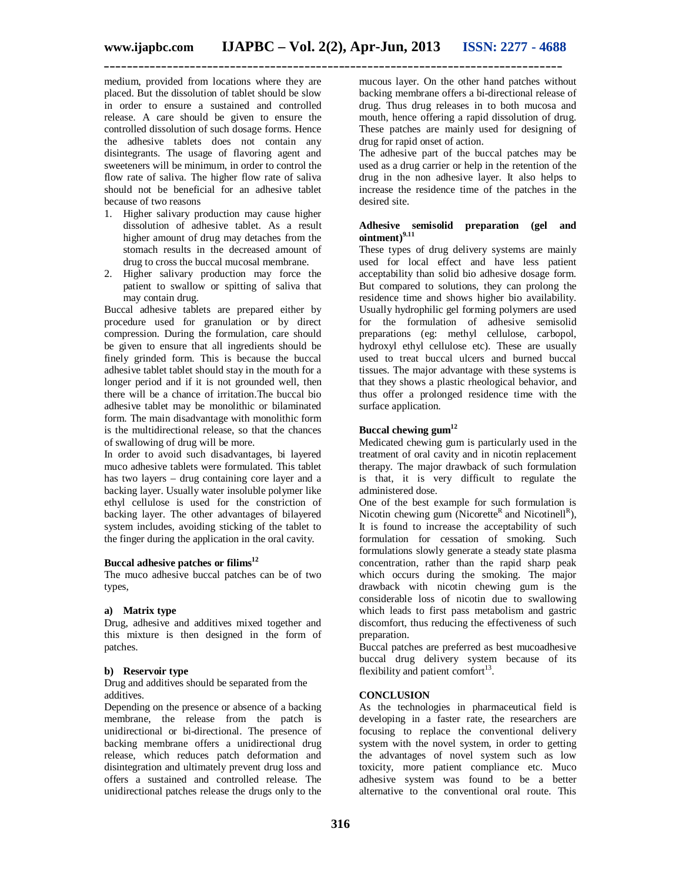medium, provided from locations where they are placed. But the dissolution of tablet should be slow in order to ensure a sustained and controlled release. A care should be given to ensure the controlled dissolution of such dosage forms. Hence the adhesive tablets does not contain any disintegrants. The usage of flavoring agent and sweeteners will be minimum, in order to control the flow rate of saliva. The higher flow rate of saliva should not be beneficial for an adhesive tablet because of two reasons

- 1. Higher salivary production may cause higher dissolution of adhesive tablet. As a result higher amount of drug may detaches from the stomach results in the decreased amount of drug to cross the buccal mucosal membrane.
- 2. Higher salivary production may force the patient to swallow or spitting of saliva that may contain drug.

Buccal adhesive tablets are prepared either by procedure used for granulation or by direct compression. During the formulation, care should be given to ensure that all ingredients should be finely grinded form. This is because the buccal adhesive tablet tablet should stay in the mouth for a longer period and if it is not grounded well, then there will be a chance of irritation.The buccal bio adhesive tablet may be monolithic or bilaminated form. The main disadvantage with monolithic form is the multidirectional release, so that the chances of swallowing of drug will be more.

In order to avoid such disadvantages, bi layered muco adhesive tablets were formulated. This tablet has two layers – drug containing core layer and a backing layer. Usually water insoluble polymer like ethyl cellulose is used for the constriction of backing layer. The other advantages of bilayered system includes, avoiding sticking of the tablet to the finger during the application in the oral cavity.

#### **Buccal adhesive patches or filims<sup>12</sup>**

The muco adhesive buccal patches can be of two types,

#### **a) Matrix type**

Drug, adhesive and additives mixed together and this mixture is then designed in the form of patches.

#### **b) Reservoir type**

Drug and additives should be separated from the additives.

Depending on the presence or absence of a backing membrane, the release from the patch is unidirectional or bi-directional. The presence of backing membrane offers a unidirectional drug release, which reduces patch deformation and disintegration and ultimately prevent drug loss and offers a sustained and controlled release. The unidirectional patches release the drugs only to the

mucous layer. On the other hand patches without backing membrane offers a bi-directional release of drug. Thus drug releases in to both mucosa and mouth, hence offering a rapid dissolution of drug. These patches are mainly used for designing of drug for rapid onset of action.

The adhesive part of the buccal patches may be used as a drug carrier or help in the retention of the drug in the non adhesive layer. It also helps to increase the residence time of the patches in the desired site.

# **Adhesive semisolid preparation (gel and ointment)9.11**

These types of drug delivery systems are mainly used for local effect and have less patient acceptability than solid bio adhesive dosage form. But compared to solutions, they can prolong the residence time and shows higher bio availability. Usually hydrophilic gel forming polymers are used for the formulation of adhesive semisolid preparations (eg: methyl cellulose, carbopol, hydroxyl ethyl cellulose etc). These are usually used to treat buccal ulcers and burned buccal tissues. The major advantage with these systems is that they shows a plastic rheological behavior, and thus offer a prolonged residence time with the surface application.

#### **Buccal chewing gum<sup>12</sup>**

Medicated chewing gum is particularly used in the treatment of oral cavity and in nicotin replacement therapy. The major drawback of such formulation is that, it is very difficult to regulate the administered dose.

One of the best example for such formulation is Nicotin chewing gum (Nicorette<sup>R</sup> and Nicotinell<sup>R</sup>), It is found to increase the acceptability of such formulation for cessation of smoking. Such formulations slowly generate a steady state plasma concentration, rather than the rapid sharp peak which occurs during the smoking. The major drawback with nicotin chewing gum is the considerable loss of nicotin due to swallowing which leads to first pass metabolism and gastric discomfort, thus reducing the effectiveness of such preparation.

Buccal patches are preferred as best mucoadhesive buccal drug delivery system because of its flexibility and patient comfort<sup>13</sup>.

#### **CONCLUSION**

As the technologies in pharmaceutical field is developing in a faster rate, the researchers are focusing to replace the conventional delivery system with the novel system, in order to getting the advantages of novel system such as low toxicity, more patient compliance etc. Muco adhesive system was found to be a better alternative to the conventional oral route. This